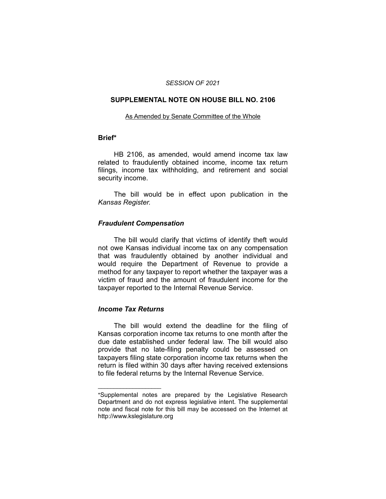#### *SESSION OF 2021*

## **SUPPLEMENTAL NOTE ON HOUSE BILL NO. 2106**

#### As Amended by Senate Committee of the Whole

#### **Brief\***

HB 2106, as amended, would amend income tax law related to fraudulently obtained income, income tax return filings, income tax withholding, and retirement and social security income.

The bill would be in effect upon publication in the *Kansas Register.*

# *Fraudulent Compensation*

The bill would clarify that victims of identify theft would not owe Kansas individual income tax on any compensation that was fraudulently obtained by another individual and would require the Department of Revenue to provide a method for any taxpayer to report whether the taxpayer was a victim of fraud and the amount of fraudulent income for the taxpayer reported to the Internal Revenue Service.

# *Income Tax Returns*

 $\overline{\phantom{a}}$  , where  $\overline{\phantom{a}}$  , where  $\overline{\phantom{a}}$ 

The bill would extend the deadline for the filing of Kansas corporation income tax returns to one month after the due date established under federal law. The bill would also provide that no late-filing penalty could be assessed on taxpayers filing state corporation income tax returns when the return is filed within 30 days after having received extensions to file federal returns by the Internal Revenue Service.

<sup>\*</sup>Supplemental notes are prepared by the Legislative Research Department and do not express legislative intent. The supplemental note and fiscal note for this bill may be accessed on the Internet at http://www.kslegislature.org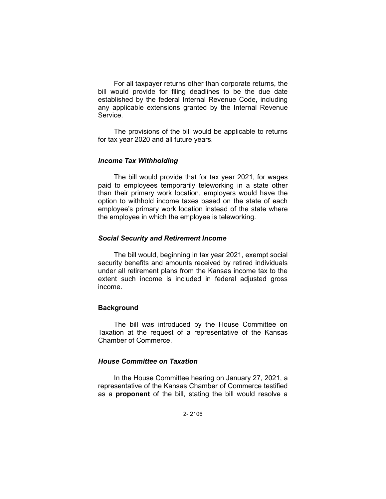For all taxpayer returns other than corporate returns, the bill would provide for filing deadlines to be the due date established by the federal Internal Revenue Code, including any applicable extensions granted by the Internal Revenue Service.

The provisions of the bill would be applicable to returns for tax year 2020 and all future years.

## *Income Tax Withholding*

The bill would provide that for tax year 2021, for wages paid to employees temporarily teleworking in a state other than their primary work location, employers would have the option to withhold income taxes based on the state of each employee's primary work location instead of the state where the employee in which the employee is teleworking.

## *Social Security and Retirement Income*

The bill would, beginning in tax year 2021, exempt social security benefits and amounts received by retired individuals under all retirement plans from the Kansas income tax to the extent such income is included in federal adjusted gross income.

# **Background**

The bill was introduced by the House Committee on Taxation at the request of a representative of the Kansas Chamber of Commerce.

# *House Committee on Taxation*

In the House Committee hearing on January 27, 2021, a representative of the Kansas Chamber of Commerce testified as a **proponent** of the bill, stating the bill would resolve a